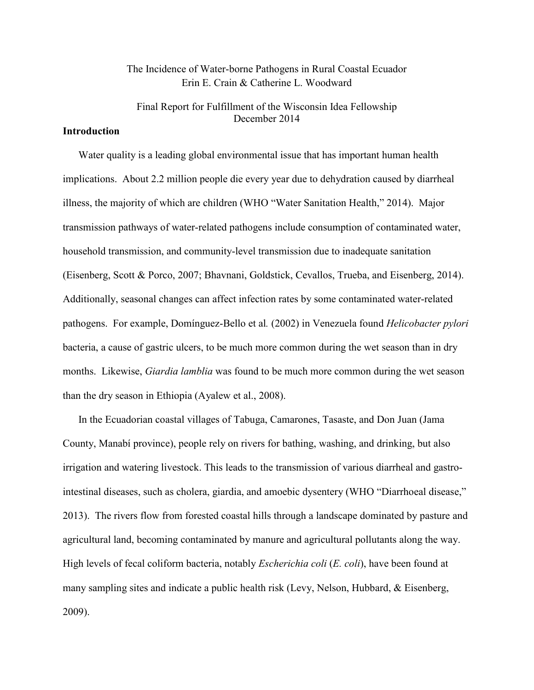## The Incidence of Water-borne Pathogens in Rural Coastal Ecuador Erin E. Crain & Catherine L. Woodward

Final Report for Fulfillment of the Wisconsin Idea Fellowship December 2014

## **Introduction**

Water quality is a leading global environmental issue that has important human health implications. About 2.2 million people die every year due to dehydration caused by diarrheal illness, the majority of which are children (WHO "Water Sanitation Health," 2014). Major transmission pathways of water-related pathogens include consumption of contaminated water, household transmission, and community-level transmission due to inadequate sanitation (Eisenberg, Scott & Porco, 2007; Bhavnani, Goldstick, Cevallos, Trueba, and Eisenberg, 2014). Additionally, seasonal changes can affect infection rates by some contaminated water-related pathogens. For example, Domínguez-Bello et al*.* (2002) in Venezuela found *Helicobacter pylori* bacteria, a cause of gastric ulcers, to be much more common during the wet season than in dry months. Likewise, *Giardia lamblia* was found to be much more common during the wet season than the dry season in Ethiopia (Ayalew et al., 2008).

In the Ecuadorian coastal villages of Tabuga, Camarones, Tasaste, and Don Juan (Jama County, Manabí province), people rely on rivers for bathing, washing, and drinking, but also irrigation and watering livestock. This leads to the transmission of various diarrheal and gastrointestinal diseases, such as cholera, giardia, and amoebic dysentery (WHO "Diarrhoeal disease," 2013). The rivers flow from forested coastal hills through a landscape dominated by pasture and agricultural land, becoming contaminated by manure and agricultural pollutants along the way. High levels of fecal coliform bacteria, notably *Escherichia coli* (*E. coli*), have been found at many sampling sites and indicate a public health risk (Levy, Nelson, Hubbard, & Eisenberg, 2009).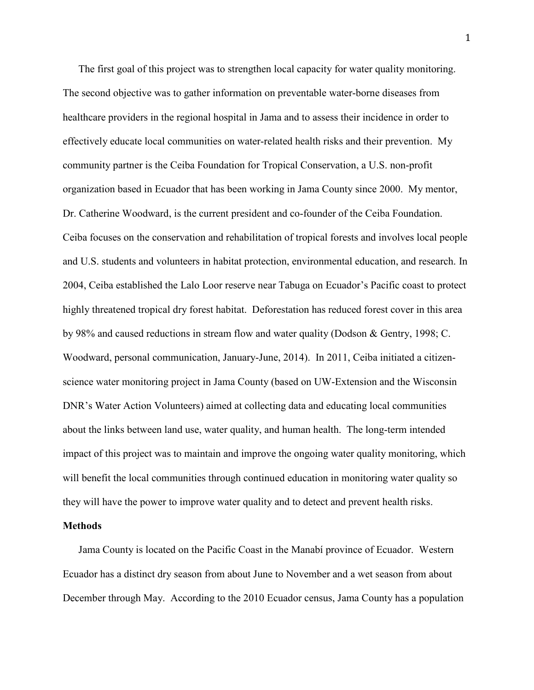The first goal of this project was to strengthen local capacity for water quality monitoring. The second objective was to gather information on preventable water-borne diseases from healthcare providers in the regional hospital in Jama and to assess their incidence in order to effectively educate local communities on water-related health risks and their prevention. My community partner is the Ceiba Foundation for Tropical Conservation, a U.S. non-profit organization based in Ecuador that has been working in Jama County since 2000. My mentor, Dr. Catherine Woodward, is the current president and co-founder of the Ceiba Foundation. Ceiba focuses on the conservation and rehabilitation of tropical forests and involves local people and U.S. students and volunteers in habitat protection, environmental education, and research. In 2004, Ceiba established the Lalo Loor reserve near Tabuga on Ecuador's Pacific coast to protect highly threatened tropical dry forest habitat. Deforestation has reduced forest cover in this area by 98% and caused reductions in stream flow and water quality (Dodson & Gentry, 1998; C. Woodward, personal communication, January-June, 2014). In 2011, Ceiba initiated a citizenscience water monitoring project in Jama County (based on UW-Extension and the Wisconsin DNR's Water Action Volunteers) aimed at collecting data and educating local communities about the links between land use, water quality, and human health. The long-term intended impact of this project was to maintain and improve the ongoing water quality monitoring, which will benefit the local communities through continued education in monitoring water quality so they will have the power to improve water quality and to detect and prevent health risks.

#### **Methods**

Jama County is located on the Pacific Coast in the Manabí province of Ecuador. Western Ecuador has a distinct dry season from about June to November and a wet season from about December through May. According to the 2010 Ecuador census, Jama County has a population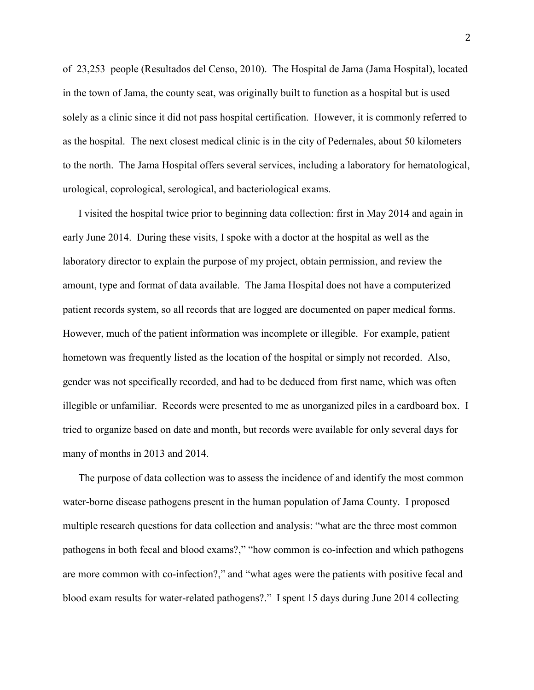of 23,253 people (Resultados del Censo, 2010). The Hospital de Jama (Jama Hospital), located in the town of Jama, the county seat, was originally built to function as a hospital but is used solely as a clinic since it did not pass hospital certification. However, it is commonly referred to as the hospital. The next closest medical clinic is in the city of Pedernales, about 50 kilometers to the north. The Jama Hospital offers several services, including a laboratory for hematological, urological, coprological, serological, and bacteriological exams.

I visited the hospital twice prior to beginning data collection: first in May 2014 and again in early June 2014. During these visits, I spoke with a doctor at the hospital as well as the laboratory director to explain the purpose of my project, obtain permission, and review the amount, type and format of data available. The Jama Hospital does not have a computerized patient records system, so all records that are logged are documented on paper medical forms. However, much of the patient information was incomplete or illegible. For example, patient hometown was frequently listed as the location of the hospital or simply not recorded. Also, gender was not specifically recorded, and had to be deduced from first name, which was often illegible or unfamiliar. Records were presented to me as unorganized piles in a cardboard box. I tried to organize based on date and month, but records were available for only several days for many of months in 2013 and 2014.

The purpose of data collection was to assess the incidence of and identify the most common water-borne disease pathogens present in the human population of Jama County. I proposed multiple research questions for data collection and analysis: "what are the three most common pathogens in both fecal and blood exams?," "how common is co-infection and which pathogens are more common with co-infection?," and "what ages were the patients with positive fecal and blood exam results for water-related pathogens?." I spent 15 days during June 2014 collecting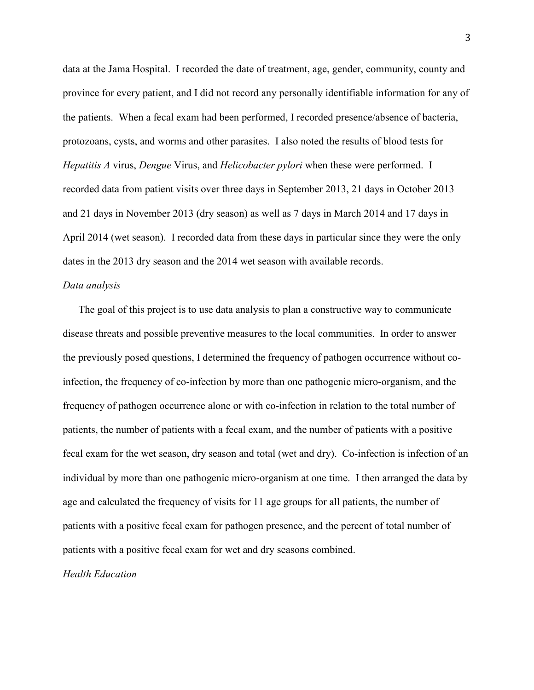data at the Jama Hospital. I recorded the date of treatment, age, gender, community, county and province for every patient, and I did not record any personally identifiable information for any of the patients. When a fecal exam had been performed, I recorded presence/absence of bacteria, protozoans, cysts, and worms and other parasites. I also noted the results of blood tests for *Hepatitis A* virus, *Dengue* Virus, and *Helicobacter pylori* when these were performed. I recorded data from patient visits over three days in September 2013, 21 days in October 2013 and 21 days in November 2013 (dry season) as well as 7 days in March 2014 and 17 days in April 2014 (wet season). I recorded data from these days in particular since they were the only dates in the 2013 dry season and the 2014 wet season with available records.

#### *Data analysis*

The goal of this project is to use data analysis to plan a constructive way to communicate disease threats and possible preventive measures to the local communities. In order to answer the previously posed questions, I determined the frequency of pathogen occurrence without coinfection, the frequency of co-infection by more than one pathogenic micro-organism, and the frequency of pathogen occurrence alone or with co-infection in relation to the total number of patients, the number of patients with a fecal exam, and the number of patients with a positive fecal exam for the wet season, dry season and total (wet and dry). Co-infection is infection of an individual by more than one pathogenic micro-organism at one time. I then arranged the data by age and calculated the frequency of visits for 11 age groups for all patients, the number of patients with a positive fecal exam for pathogen presence, and the percent of total number of patients with a positive fecal exam for wet and dry seasons combined.

*Health Education*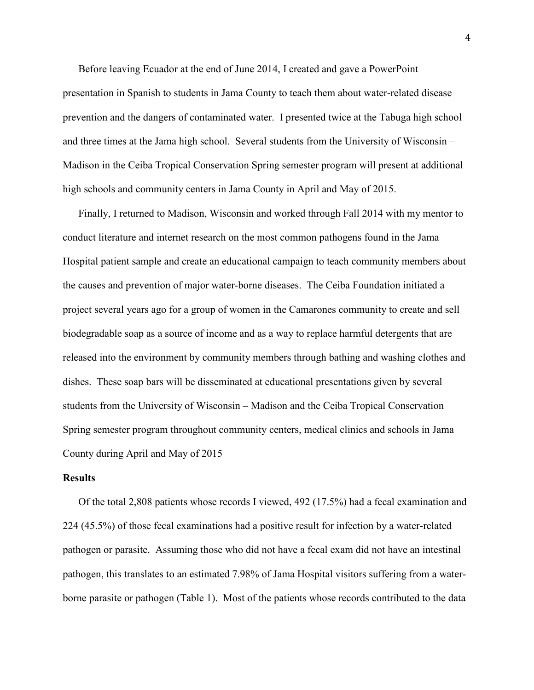Before leaving Ecuador at the end of June 2014, I created and gave a PowerPoint presentation in Spanish to students in Jama County to teach them about water-related disease prevention and the dangers of contaminated water. I presented twice at the Tabuga high school and three times at the Jama high school. Several students from the University of Wisconsin – Madison in the Ceiba Tropical Conservation Spring semester program will present at additional high schools and community centers in Jama County in April and May of 2015.

Finally, I returned to Madison, Wisconsin and worked through Fall 2014 with my mentor to conduct literature and internet research on the most common pathogens found in the Jama Hospital patient sample and create an educational campaign to teach community members about the causes and prevention of major water-borne diseases. The Ceiba Foundation initiated a project several years ago for a group of women in the Camarones community to create and sell biodegradable soap as a source of income and as a way to replace harmful detergents that are released into the environment by community members through bathing and washing clothes and dishes. These soap bars will be disseminated at educational presentations given by several students from the University of Wisconsin – Madison and the Ceiba Tropical Conservation Spring semester program throughout community centers, medical clinics and schools in Jama County during April and May of 2015

#### **Results**

Of the total 2,808 patients whose records I viewed, 492 (17.5%) had a fecal examination and 224 (45.5%) of those fecal examinations had a positive result for infection by a water-related pathogen or parasite. Assuming those who did not have a fecal exam did not have an intestinal pathogen, this translates to an estimated 7.98% of Jama Hospital visitors suffering from a waterborne parasite or pathogen (Table 1). Most of the patients whose records contributed to the data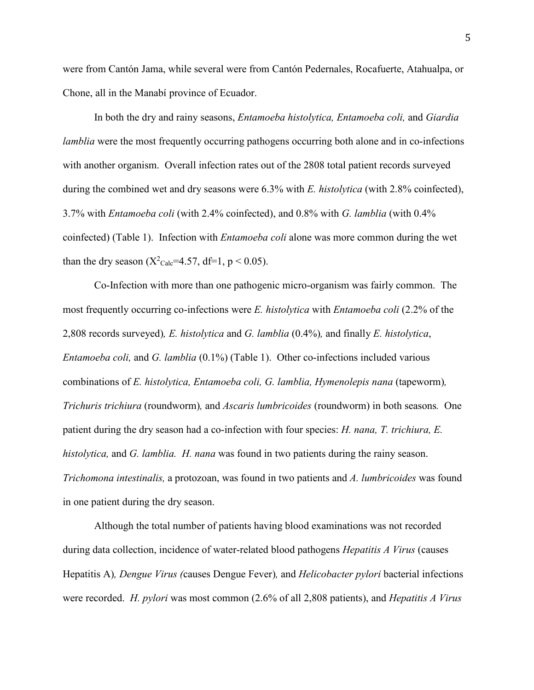were from Cantón Jama, while several were from Cantón Pedernales, Rocafuerte, Atahualpa, or Chone, all in the Manabí province of Ecuador.

In both the dry and rainy seasons, *Entamoeba histolytica, Entamoeba coli,* and *Giardia lamblia* were the most frequently occurring pathogens occurring both alone and in co-infections with another organism. Overall infection rates out of the 2808 total patient records surveyed during the combined wet and dry seasons were 6.3% with *E. histolytica* (with 2.8% coinfected), 3.7% with *Entamoeba coli* (with 2.4% coinfected), and 0.8% with *G. lamblia* (with 0.4% coinfected) (Table 1). Infection with *Entamoeba coli* alone was more common during the wet than the dry season ( $X^2$ <sub>Calc</sub>=4.57, df=1, p < 0.05).

Co-Infection with more than one pathogenic micro-organism was fairly common. The most frequently occurring co-infections were *E. histolytica* with *Entamoeba coli* (2.2% of the 2,808 records surveyed)*, E. histolytica* and *G. lamblia* (0.4%)*,* and finally *E. histolytica*, *Entamoeba coli,* and *G. lamblia* (0.1%) (Table 1). Other co-infections included various combinations of *E. histolytica, Entamoeba coli, G. lamblia, Hymenolepis nana* (tapeworm)*, Trichuris trichiura* (roundworm)*,* and *Ascaris lumbricoides* (roundworm) in both seasons*.* One patient during the dry season had a co-infection with four species: *H. nana, T. trichiura, E. histolytica,* and *G. lamblia. H. nana* was found in two patients during the rainy season. *Trichomona intestinalis,* a protozoan, was found in two patients and *A. lumbricoides* was found in one patient during the dry season.

Although the total number of patients having blood examinations was not recorded during data collection, incidence of water-related blood pathogens *Hepatitis A Virus* (causes Hepatitis A)*, Dengue Virus (*causes Dengue Fever)*,* and *Helicobacter pylori* bacterial infections were recorded. *H. pylori* was most common (2.6% of all 2,808 patients), and *Hepatitis A Virus*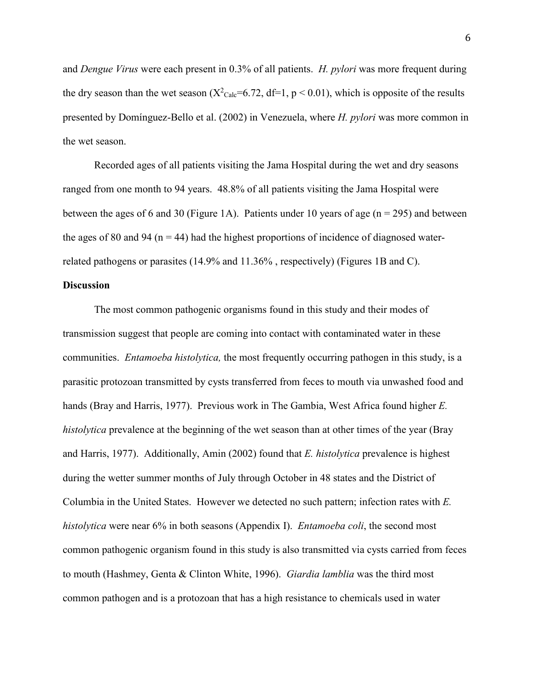and *Dengue Virus* were each present in 0.3% of all patients. *H. pylori* was more frequent during the dry season than the wet season  $(X^2_{\text{Calc}}=6.72, df=1, p < 0.01)$ , which is opposite of the results presented by Domínguez-Bello et al. (2002) in Venezuela, where *H. pylori* was more common in the wet season.

Recorded ages of all patients visiting the Jama Hospital during the wet and dry seasons ranged from one month to 94 years. 48.8% of all patients visiting the Jama Hospital were between the ages of 6 and 30 (Figure 1A). Patients under 10 years of age ( $n = 295$ ) and between the ages of 80 and 94 ( $n = 44$ ) had the highest proportions of incidence of diagnosed waterrelated pathogens or parasites (14.9% and 11.36% , respectively) (Figures 1B and C).

#### **Discussion**

The most common pathogenic organisms found in this study and their modes of transmission suggest that people are coming into contact with contaminated water in these communities. *Entamoeba histolytica,* the most frequently occurring pathogen in this study, is a parasitic protozoan transmitted by cysts transferred from feces to mouth via unwashed food and hands (Bray and Harris, 1977). Previous work in The Gambia, West Africa found higher *E. histolytica* prevalence at the beginning of the wet season than at other times of the year (Bray and Harris, 1977). Additionally, Amin (2002) found that *E. histolytica* prevalence is highest during the wetter summer months of July through October in 48 states and the District of Columbia in the United States. However we detected no such pattern; infection rates with *E. histolytica* were near 6% in both seasons (Appendix I). *Entamoeba coli*, the second most common pathogenic organism found in this study is also transmitted via cysts carried from feces to mouth (Hashmey, Genta & Clinton White, 1996). *Giardia lamblia* was the third most common pathogen and is a protozoan that has a high resistance to chemicals used in water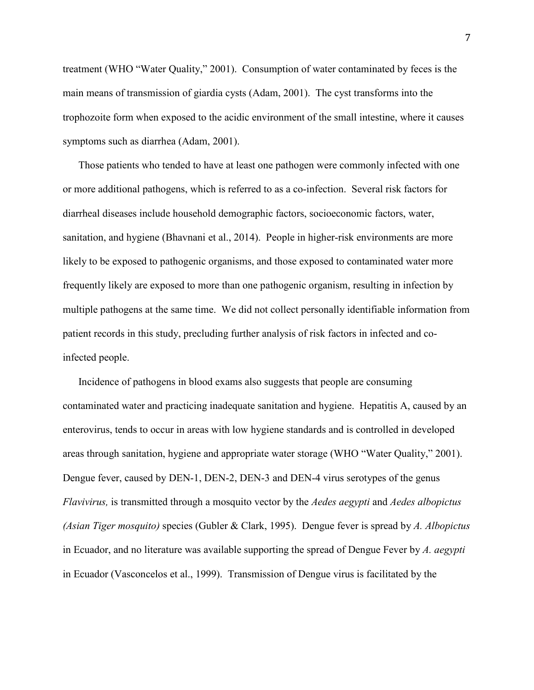treatment (WHO "Water Quality," 2001). Consumption of water contaminated by feces is the main means of transmission of giardia cysts (Adam, 2001). The cyst transforms into the trophozoite form when exposed to the acidic environment of the small intestine, where it causes symptoms such as diarrhea (Adam, 2001).

Those patients who tended to have at least one pathogen were commonly infected with one or more additional pathogens, which is referred to as a co-infection. Several risk factors for diarrheal diseases include household demographic factors, socioeconomic factors, water, sanitation, and hygiene (Bhavnani et al., 2014). People in higher-risk environments are more likely to be exposed to pathogenic organisms, and those exposed to contaminated water more frequently likely are exposed to more than one pathogenic organism, resulting in infection by multiple pathogens at the same time. We did not collect personally identifiable information from patient records in this study, precluding further analysis of risk factors in infected and coinfected people.

Incidence of pathogens in blood exams also suggests that people are consuming contaminated water and practicing inadequate sanitation and hygiene. Hepatitis A, caused by an enterovirus, tends to occur in areas with low hygiene standards and is controlled in developed areas through sanitation, hygiene and appropriate water storage (WHO "Water Quality," 2001). Dengue fever, caused by DEN-1, DEN-2, DEN-3 and DEN-4 virus serotypes of the genus *Flavivirus,* is transmitted through a mosquito vector by the *Aedes aegypti* and *Aedes albopictus (Asian Tiger mosquito)* species (Gubler & Clark, 1995). Dengue fever is spread by *A. Albopictus* in Ecuador, and no literature was available supporting the spread of Dengue Fever by *A. aegypti*  in Ecuador (Vasconcelos et al., 1999). Transmission of Dengue virus is facilitated by the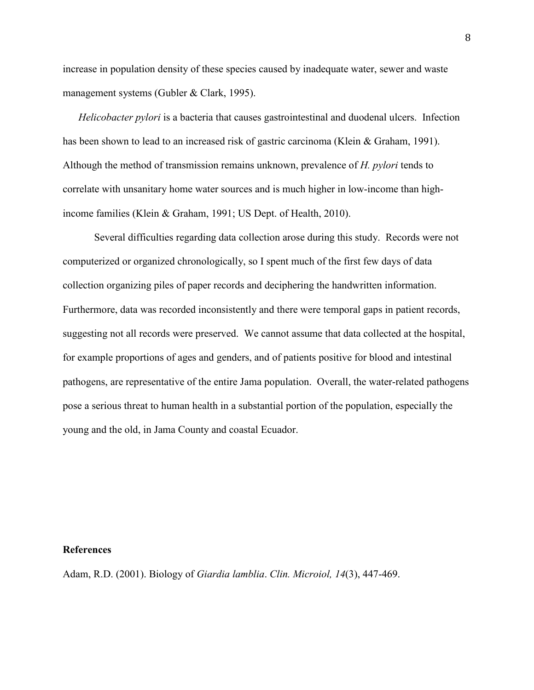increase in population density of these species caused by inadequate water, sewer and waste management systems (Gubler & Clark, 1995).

*Helicobacter pylori* is a bacteria that causes gastrointestinal and duodenal ulcers. Infection has been shown to lead to an increased risk of gastric carcinoma (Klein & Graham, 1991). Although the method of transmission remains unknown, prevalence of *H. pylori* tends to correlate with unsanitary home water sources and is much higher in low-income than highincome families (Klein & Graham, 1991; US Dept. of Health, 2010).

Several difficulties regarding data collection arose during this study. Records were not computerized or organized chronologically, so I spent much of the first few days of data collection organizing piles of paper records and deciphering the handwritten information. Furthermore, data was recorded inconsistently and there were temporal gaps in patient records, suggesting not all records were preserved. We cannot assume that data collected at the hospital, for example proportions of ages and genders, and of patients positive for blood and intestinal pathogens, are representative of the entire Jama population. Overall, the water-related pathogens pose a serious threat to human health in a substantial portion of the population, especially the young and the old, in Jama County and coastal Ecuador.

#### **References**

Adam, R.D. (2001). Biology of *Giardia lamblia*. *Clin. Microiol, 14*(3), 447-469.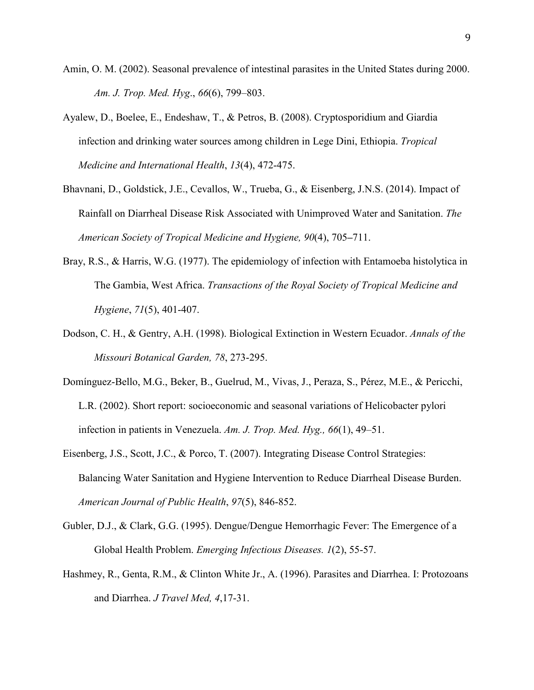- Amin, O. M. (2002). Seasonal prevalence of intestinal parasites in the United States during 2000. *Am. J. Trop. Med. Hyg*., *66*(6), 799–803.
- Ayalew, D., Boelee, E., Endeshaw, T., & Petros, B. (2008). Cryptosporidium and Giardia infection and drinking water sources among children in Lege Dini, Ethiopia. *Tropical Medicine and International Health*, *13*(4), 472-475.
- Bhavnani, D., Goldstick, J.E., Cevallos, W., Trueba, G., & Eisenberg, J.N.S. (2014). Impact of Rainfall on Diarrheal Disease Risk Associated with Unimproved Water and Sanitation. *The American Society of Tropical Medicine and Hygiene, 90*(4), 705**–**711.
- Bray, R.S., & Harris, W.G. (1977). The epidemiology of infection with Entamoeba histolytica in The Gambia, West Africa. *Transactions of the Royal Society of Tropical Medicine and Hygiene*, *71*(5), 401-407.
- Dodson, C. H., & Gentry, A.H. (1998). Biological Extinction in Western Ecuador. *Annals of the Missouri Botanical Garden, 78*, 273-295.
- Domínguez-Bello, M.G., Beker, B., Guelrud, M., Vivas, J., Peraza, S., Pérez, M.E., & Pericchi, L.R. (2002). Short report: socioeconomic and seasonal variations of Helicobacter pylori infection in patients in Venezuela. *Am. J. Trop. Med. Hyg., 66*(1), 49–51.
- Eisenberg, J.S., Scott, J.C., & Porco, T. (2007). Integrating Disease Control Strategies: Balancing Water Sanitation and Hygiene Intervention to Reduce Diarrheal Disease Burden. *American Journal of Public Health*, *97*(5), 846-852.
- Gubler, D.J., & Clark, G.G. (1995). Dengue/Dengue Hemorrhagic Fever: The Emergence of a Global Health Problem. *Emerging Infectious Diseases. 1*(2), 55-57.
- Hashmey, R., Genta, R.M., & Clinton White Jr., A. (1996). Parasites and Diarrhea. I: Protozoans and Diarrhea. *J Travel Med, 4*,17-31.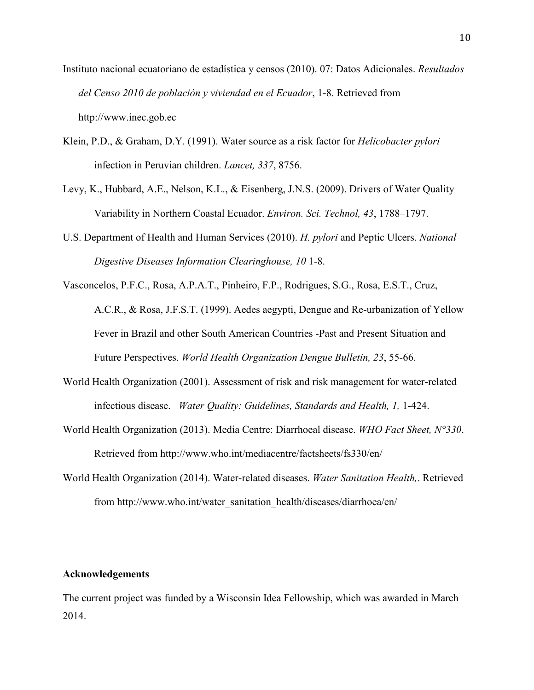- Instituto nacional ecuatoriano de estadística y censos (2010). 07: Datos Adicionales. *Resultados del Censo 2010 de población y viviendad en el Ecuador*, 1-8. Retrieved from http://www.inec.gob.ec
- Klein, P.D., & Graham, D.Y. (1991). Water source as a risk factor for *Helicobacter pylori*  infection in Peruvian children. *Lancet, 337*, 8756.
- Levy, K., Hubbard, A.E., Nelson, K.L., & Eisenberg, J.N.S. (2009). Drivers of Water Quality Variability in Northern Coastal Ecuador. *Environ. Sci. Technol, 43*, 1788–1797.
- U.S. Department of Health and Human Services (2010). *H. pylori* and Peptic Ulcers. *National Digestive Diseases Information Clearinghouse, 10* 1-8.
- Vasconcelos, P.F.C., Rosa, A.P.A.T., Pinheiro, F.P., Rodrigues, S.G., Rosa, E.S.T., Cruz, A.C.R., & Rosa, J.F.S.T. (1999). Aedes aegypti, Dengue and Re-urbanization of Yellow Fever in Brazil and other South American Countries -Past and Present Situation and Future Perspectives. *World Health Organization Dengue Bulletin, 23*, 55-66.
- World Health Organization (2001). Assessment of risk and risk management for water-related infectious disease. *Water Quality: Guidelines, Standards and Health, 1,* 1-424.
- World Health Organization (2013). Media Centre: Diarrhoeal disease. *WHO Fact Sheet, N°330*. Retrieved from http://www.who.int/mediacentre/factsheets/fs330/en/
- World Health Organization (2014). Water-related diseases. *Water Sanitation Health,*. Retrieved from http://www.who.int/water\_sanitation\_health/diseases/diarrhoea/en/

### **Acknowledgements**

The current project was funded by a Wisconsin Idea Fellowship, which was awarded in March 2014.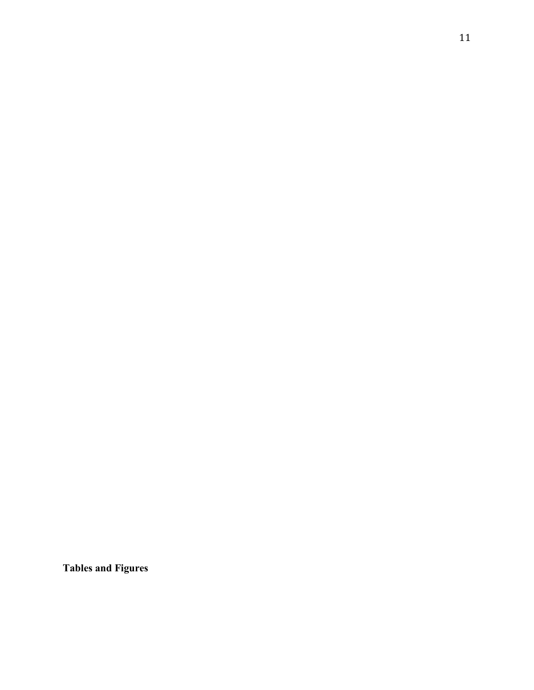**Tables and Figures**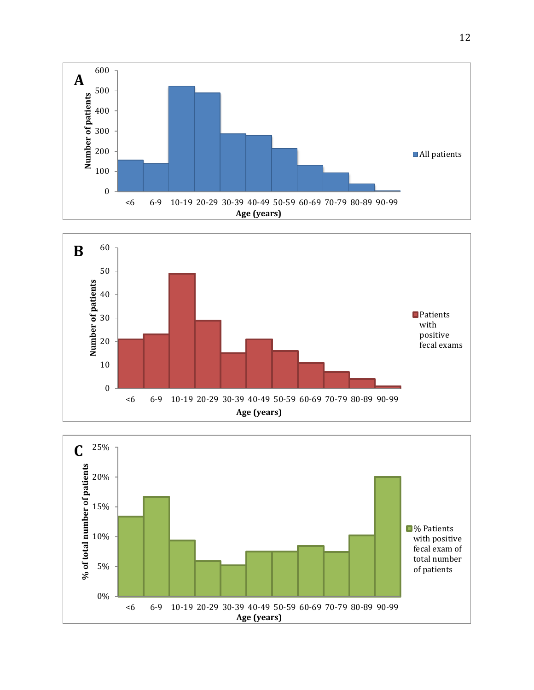



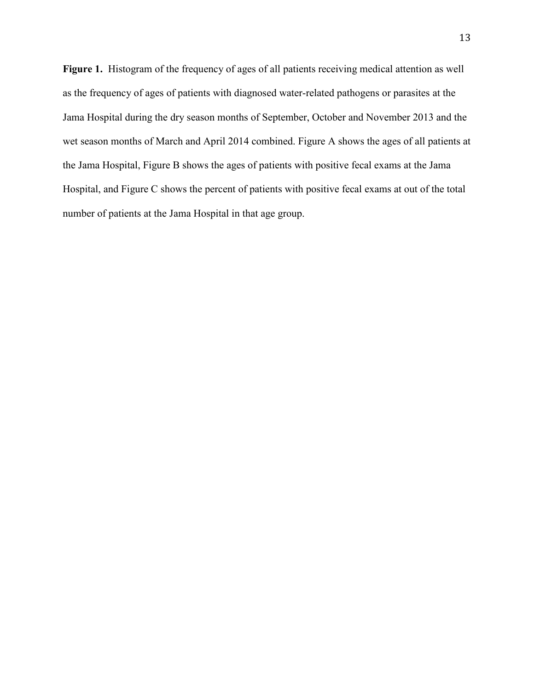**Figure 1.** Histogram of the frequency of ages of all patients receiving medical attention as well as the frequency of ages of patients with diagnosed water-related pathogens or parasites at the Jama Hospital during the dry season months of September, October and November 2013 and the wet season months of March and April 2014 combined. Figure A shows the ages of all patients at the Jama Hospital, Figure B shows the ages of patients with positive fecal exams at the Jama Hospital, and Figure C shows the percent of patients with positive fecal exams at out of the total number of patients at the Jama Hospital in that age group.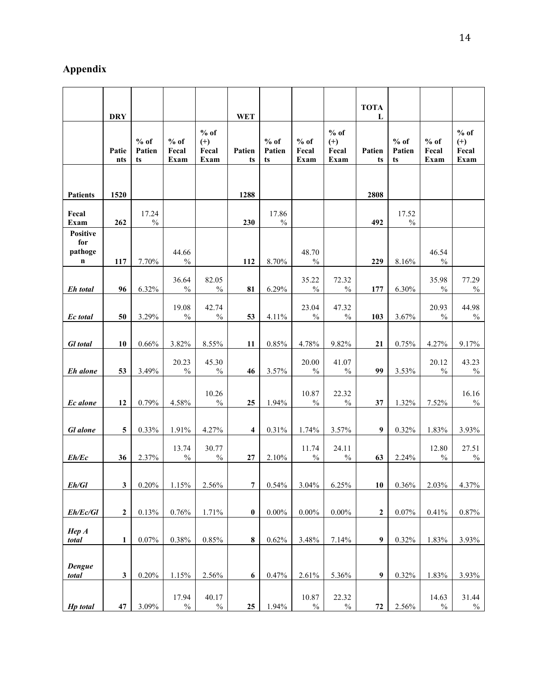# **Appendix**

|                                                  |                            |                        |                         |                                  |                            |                        |                         |                                  | <b>TOTA</b>       |                        |                         |                                  |
|--------------------------------------------------|----------------------------|------------------------|-------------------------|----------------------------------|----------------------------|------------------------|-------------------------|----------------------------------|-------------------|------------------------|-------------------------|----------------------------------|
|                                                  | <b>DRY</b><br>Patie<br>nts | $%$ of<br>Patien<br>ts | $%$ of<br>Fecal<br>Exam | $%$ of<br>$(+)$<br>Fecal<br>Exam | <b>WET</b><br>Patien<br>ts | $%$ of<br>Patien<br>ts | $%$ of<br>Fecal<br>Exam | $%$ of<br>$(+)$<br>Fecal<br>Exam | L<br>Patien<br>ts | $%$ of<br>Patien<br>ts | $%$ of<br>Fecal<br>Exam | $%$ of<br>$(+)$<br>Fecal<br>Exam |
| <b>Patients</b>                                  | 1520                       |                        |                         |                                  | 1288                       |                        |                         |                                  | 2808              |                        |                         |                                  |
| Fecal<br>Exam                                    | 262                        | 17.24<br>$\frac{0}{0}$ |                         |                                  | 230                        | 17.86<br>$\%$          |                         |                                  | 492               | 17.52<br>$\%$          |                         |                                  |
| <b>Positive</b><br>for<br>pathoge<br>$\mathbf n$ | 117                        | 7.70%                  | 44.66<br>$\frac{0}{0}$  |                                  | 112                        | 8.70%                  | 48.70<br>$\%$           |                                  | 229               | 8.16%                  | 46.54<br>$\frac{0}{0}$  |                                  |
| Eh total                                         | 96                         | 6.32%                  | 36.64<br>$\frac{0}{0}$  | 82.05<br>$\frac{0}{0}$           | 81                         | 6.29%                  | 35.22<br>$\frac{0}{0}$  | 72.32<br>$\frac{0}{0}$           | 177               | 6.30%                  | 35.98<br>$\frac{0}{0}$  | 77.29<br>$\frac{0}{0}$           |
| Ec total                                         | 50                         | 3.29%                  | 19.08<br>$\%$           | 42.74<br>$\frac{0}{0}$           | 53                         | 4.11%                  | 23.04<br>$\frac{0}{0}$  | 47.32<br>$\frac{0}{0}$           | 103               | 3.67%                  | 20.93<br>$\frac{0}{0}$  | 44.98<br>$\%$                    |
| <b>Gl</b> total                                  | 10                         | 0.66%                  | 3.82%                   | 8.55%                            | 11                         | 0.85%                  | 4.78%                   | 9.82%                            | 21                | 0.75%                  | 4.27%                   | 9.17%                            |
| Eh alone                                         | 53                         | 3.49%                  | 20.23<br>$\%$           | 45.30<br>$\frac{0}{0}$           | 46                         | 3.57%                  | 20.00<br>$\frac{0}{0}$  | 41.07<br>$\frac{0}{0}$           | 99                | 3.53%                  | 20.12<br>$\frac{0}{0}$  | 43.23<br>$\frac{0}{0}$           |
| Ec alone                                         | 12                         | 0.79%                  | 4.58%                   | 10.26<br>$\frac{0}{0}$           | 25                         | 1.94%                  | 10.87<br>$\%$           | 22.32<br>$\frac{0}{0}$           | 37                | 1.32%                  | 7.52%                   | 16.16<br>$\frac{0}{0}$           |
| <b>Gl</b> alone                                  | 5                          | 0.33%                  | 1.91%                   | 4.27%                            | 4                          | 0.31%                  | 1.74%                   | 3.57%                            | 9                 | 0.32%                  | 1.83%                   | 3.93%                            |
| Eh/Ec                                            | 36                         | 2.37%                  | 13.74<br>$\%$           | 30.77<br>$\frac{0}{0}$           | 27                         | 2.10%                  | 11.74<br>$\frac{0}{0}$  | 24.11<br>$\frac{0}{0}$           | 63                | 2.24%                  | 12.80<br>$\frac{0}{0}$  | 27.51<br>$\%$                    |
| Eh/Gl                                            | $\overline{\mathbf{3}}$    | 0.20%                  | 1.15%                   | 2.56%                            | $\overline{7}$             | $0.54\%$               | 3.04%                   | 6.25%                            | 10                | $0.36\%$               | 2.03%                   | 4.37%                            |
| Eh/Ec/Gl                                         | $\boldsymbol{2}$           | 0.13%                  | 0.76%                   | 1.71%                            | $\boldsymbol{0}$           | $0.00\%$               | $0.00\%$                | $0.00\%$                         | 2                 | 0.07%                  | $0.41\%$                | 0.87%                            |
| HepA<br>total                                    | 1                          | 0.07%                  | $0.38\%$                | $0.85\%$                         | ${\bf 8}$                  | 0.62%                  | 3.48%                   | 7.14%                            | 9                 | 0.32%                  | 1.83%                   | 3.93%                            |
| Dengue<br>total                                  | $\mathbf{3}$               | 0.20%                  | 1.15%                   | 2.56%                            | 6                          | 0.47%                  | 2.61%                   | 5.36%                            | 9                 | 0.32%                  | 1.83%                   | 3.93%                            |
| <b>Hp</b> total                                  | $\bf 47$                   | 3.09%                  | 17.94<br>$\%$           | 40.17<br>$\%$                    | 25                         | 1.94%                  | 10.87<br>$\%$           | 22.32<br>$\%$                    | ${\bf 72}$        | 2.56%                  | 14.63<br>$\frac{0}{0}$  | 31.44<br>$\%$                    |